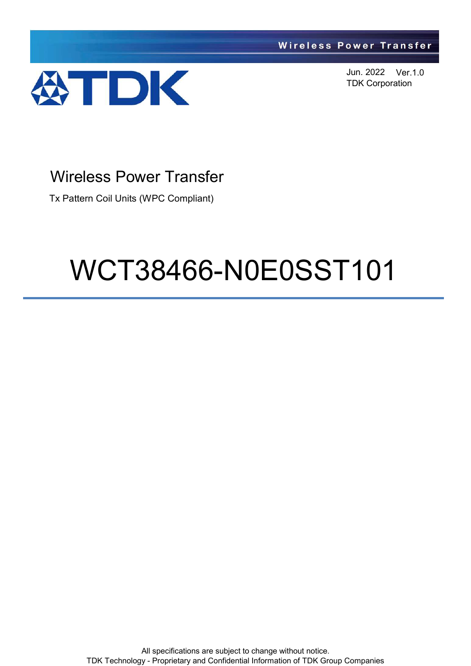

Jun. 2022 Ver.1.0 TDK Corporation

# Wireless Power Transfer

Tx Pattern Coil Units (WPC Compliant)

# WCT38466-N0E0SST101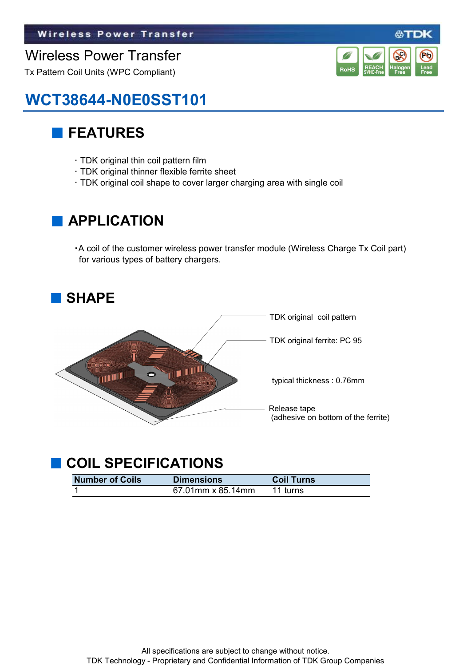#### Wireless Power Transfer

Tx Pattern Coil Units (WPC Compliant)



公丁

# WCT38644-N0E0SST101

#### ■ FEATURES

- ・ TDK original thin coil pattern film
- ・ TDK original thinner flexible ferrite sheet
- ・ TDK original coil shape to cover larger charging area with single coil

#### **APPLICATION**

・A coil of the customer wireless power transfer module (Wireless Charge Tx Coil part) for various types of battery chargers.



### ■ COIL SPECIFICATIONS

| <b>Number of Coils</b> | <b>Dimensions</b> | <b>Coil Turns</b> |
|------------------------|-------------------|-------------------|
|                        | 67.01mm x 85.14mm | 11 turns          |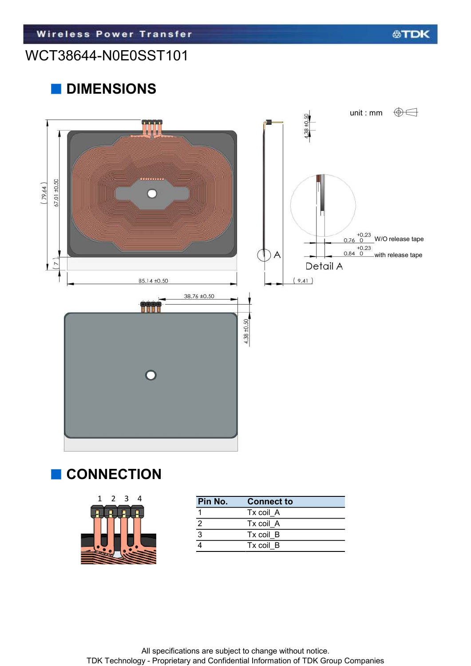#### WCT38644-N0E0SST101

### ■ DIMENSIONS



#### ■ CONNECTION

| 1 2 3 4 | Pin No. | Conn   |
|---------|---------|--------|
|         |         | Tx coi |
|         |         | Tx coi |
|         | ◠       | Tx coi |
|         |         | Tx coi |
|         |         |        |

| Pin No. | <b>Connect to</b> |
|---------|-------------------|
|         | Tx coil A         |
|         | Tx coil A         |
|         | Tx coil B         |
|         | Tx coil B         |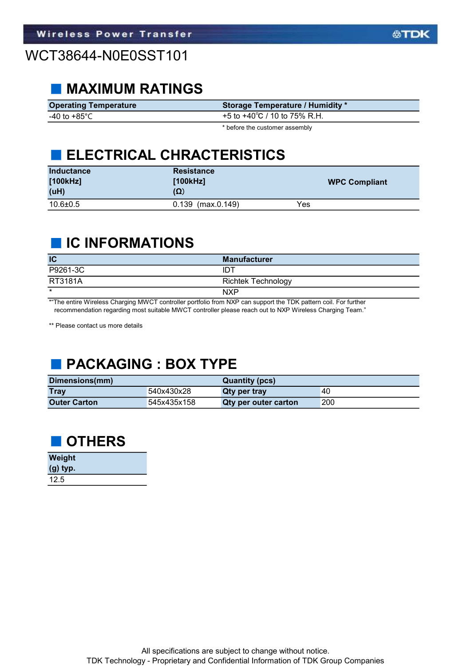#### ■ MAXIMUM RATINGS

| <b>Operating Temperature</b> | <b>Storage Temperature / Humidity *</b> |
|------------------------------|-----------------------------------------|
| -40 to +85°C $\,$            | +5 to +40 $^{\circ}$ C / 10 to 75% R.H. |
|                              |                                         |

\* before the customer assembly

#### **ELECTRICAL CHRACTERISTICS**

| <b>Inductance</b><br>[100kHz]<br>(uH) | <b>Resistance</b><br>[100kHz]<br>$(\Omega)$ | <b>WPC Compliant</b> |
|---------------------------------------|---------------------------------------------|----------------------|
| $10.6 \pm 0.5$                        | $0.139$ (max. $0.149$ )                     | Yes                  |

#### ■ IC INFORMATIONS

| IC             | <b>Manufacturer</b>       |
|----------------|---------------------------|
| P9261-3C       | IDT                       |
| <b>RT3181A</b> | <b>Richtek Technology</b> |
| $\star$        | <b>NXP</b>                |

\*"The entire Wireless Charging MWCT controller portfolio from NXP can support the TDK pattern coil. For further recommendation regarding most suitable MWCT controller please reach out to NXP Wireless Charging Team."

\*\* Please contact us more details

## ■ PACKAGING : BOX TYPE

| Dimensions(mm)      |             | Quantity (pcs)       |     |
|---------------------|-------------|----------------------|-----|
| <b>Tray</b>         | 540x430x28  | Qty per tray         | 40  |
| <b>Outer Carton</b> | 545x435x158 | Qty per outer carton | 200 |



| <b>Weight</b> |  |
|---------------|--|
| $(g)$ typ.    |  |
| 12.5          |  |